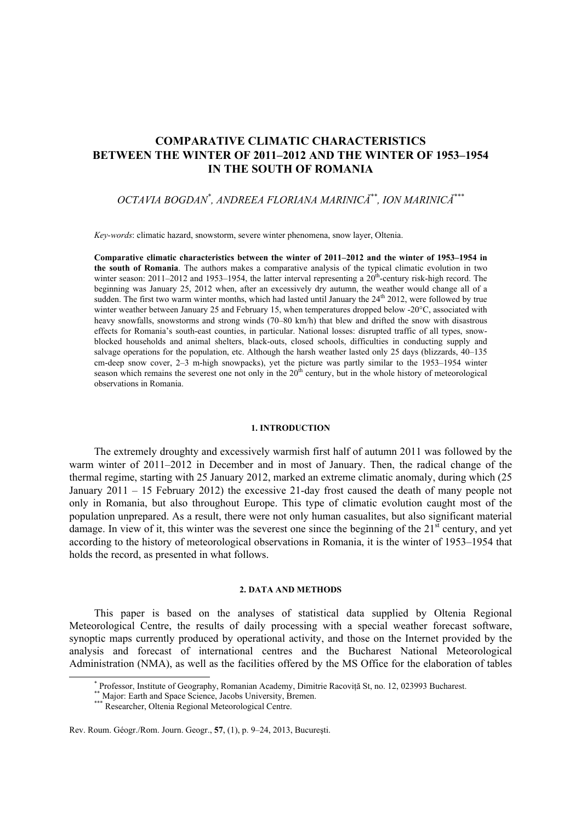# **COMPARATIVE CLIMATIC CHARACTERISTICS BETWEEN THE WINTER OF 2011–2012 AND THE WINTER OF 1953–1954 IN THE SOUTH OF ROMANIA**

# *OCTAVIA BOGDAN\* , ANDREEA FLORIANA MARINICĂ\*\*, ION MARINICĂ\*\*\**

*Key-words*: climatic hazard, snowstorm, severe winter phenomena, snow layer, Oltenia.

**Comparative climatic characteristics between the winter of 2011–2012 and the winter of 1953–1954 in the south of Romania**. The authors makes a comparative analysis of the typical climatic evolution in two winter season: 2011–2012 and 1953–1954, the latter interval representing a  $20^{th}$ -century risk-high record. The beginning was January 25, 2012 when, after an excessively dry autumn, the weather would change all of a sudden. The first two warm winter months, which had lasted until January the 24<sup>th</sup> 2012, were followed by true winter weather between January 25 and February 15, when temperatures dropped below -20°C, associated with heavy snowfalls, snowstorms and strong winds (70–80 km/h) that blew and drifted the snow with disastrous effects for Romania's south-east counties, in particular. National losses: disrupted traffic of all types, snowblocked households and animal shelters, black-outs, closed schools, difficulties in conducting supply and salvage operations for the population, etc. Although the harsh weather lasted only 25 days (blizzards, 40–135 cm-deep snow cover, 2–3 m-high snowpacks), yet the picture was partly similar to the 1953–1954 winter season which remains the severest one not only in the  $20<sup>th</sup>$  century, but in the whole history of meteorological observations in Romania.

#### **1. INTRODUCTION**

The extremely droughty and excessively warmish first half of autumn 2011 was followed by the warm winter of 2011–2012 in December and in most of January. Then, the radical change of the thermal regime, starting with 25 January 2012, marked an extreme climatic anomaly, during which (25 January 2011 – 15 February 2012) the excessive 21-day frost caused the death of many people not only in Romania, but also throughout Europe. This type of climatic evolution caught most of the population unprepared. As a result, there were not only human casualites, but also significant material damage. In view of it, this winter was the severest one since the beginning of the  $21<sup>st</sup>$  century, and yet according to the history of meteorological observations in Romania, it is the winter of 1953–1954 that holds the record, as presented in what follows.

#### **2. DATA AND METHODS**

This paper is based on the analyses of statistical data supplied by Oltenia Regional Meteorological Centre, the results of daily processing with a special weather forecast software, synoptic maps currently produced by operational activity, and those on the Internet provided by the analysis and forecast of international centres and the Bucharest National Meteorological Administration (NMA), as well as the facilities offered by the MS Office for the elaboration of tables

 <sup>\*</sup> Professor, Institute of Geography, Romanian Academy, Dimitrie Racoviţă St, no. 12, 023993 Bucharest. \*\* Major: Earth and Space Science, Jacobs University, Bremen. \*\*\* Researcher, Oltenia Regional Meteorological Centre.

Rev. Roum. Géogr./Rom. Journ. Geogr., **57**, (1), p. 9–24, 2013, Bucureşti.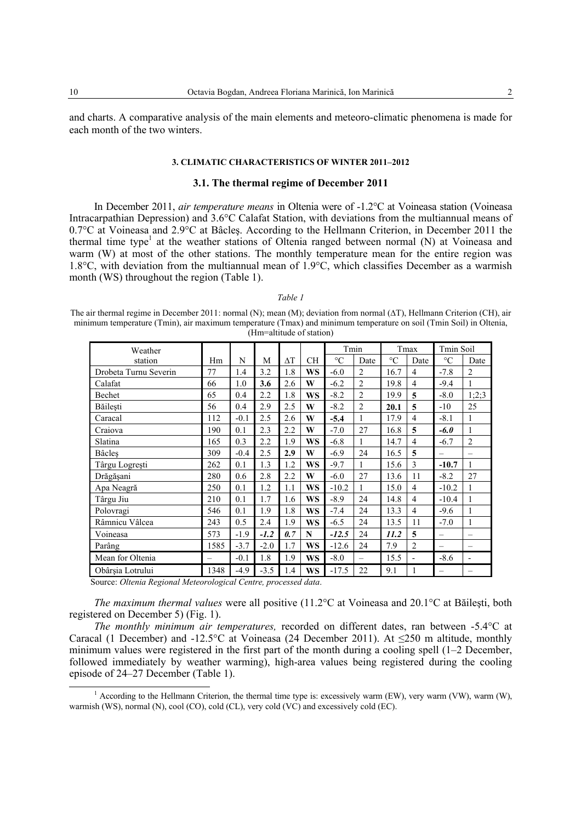and charts. A comparative analysis of the main elements and meteoro-climatic phenomena is made for each month of the two winters.

#### 3. CLIMATIC CHARACTERISTICS OF WINTER 2011-2012

#### 3.1. The thermal regime of December 2011

In December 2011, air temperature means in Oltenia were of -1.2°C at Voineasa station (Voineasa Intracarpathian Depression) and 3.6°C Calafat Station, with deviations from the multiannual means of 0.7°C at Voineasa and 2.9°C at Bâcles. According to the Hellmann Criterion, in December 2011 the thermal time type<sup>1</sup> at the weather stations of Oltenia ranged between normal (N) at Voineasa and warm (W) at most of the other stations. The monthly temperature mean for the entire region was 1.8 $\degree$ C, with deviation from the multiannual mean of 1.9 $\degree$ C, which classifies December as a warmish month (WS) throughout the region (Table 1).

#### Table 1

The air thermal regime in December 2011: normal (N); mean (M); deviation from normal ( $\Delta T$ ), Hellmann Criterion (CH), air minimum temperature (Tmin), air maximum temperature (Tmax) and minimum temperature on soil (Tmin Soil) in Oltenia, (Hm=altitude of station)

| Weather               |      |        |        |            |           | Tmin            |                          |                 | Tmax           | <b>Tmin Soil</b>         |                |
|-----------------------|------|--------|--------|------------|-----------|-----------------|--------------------------|-----------------|----------------|--------------------------|----------------|
| station               | Hm   | N      | M      | $\Delta T$ | <b>CH</b> | $\rm ^{\circ}C$ | Date                     | $\rm ^{\circ}C$ | Date           | $\rm ^{\circ}C$          | Date           |
| Drobeta Turnu Severin | 77   | 1.4    | 3.2    | 1.8        | <b>WS</b> | $-6.0$          | $\overline{2}$           | 16.7            | $\overline{4}$ | $-7.8$                   | $\overline{c}$ |
| Calafat               | 66   | 1.0    | 3.6    | 2.6        | W         | $-6.2$          | $\overline{2}$           | 19.8            | 4              | $-9.4$                   |                |
| Bechet                | 65   | 0.4    | 2.2    | 1.8        | <b>WS</b> | $-8.2$          | $\overline{2}$           | 19.9            | 5              | $-8.0$                   | 1;2;3          |
| Băilesti              | 56   | 0.4    | 2.9    | 2.5        | W         | $-8.2$          | $\overline{2}$           | 20.1            | 5              | $-10$                    | 25             |
| Caracal               | 112  | $-0.1$ | 2.5    | 2.6        | W         | $-5.4$          | 1                        | 17.9            | 4              | $-8.1$                   |                |
| Craiova               | 190  | 0.1    | 2.3    | 2.2        | W         | $-7.0$          | 27                       | 16.8            | 5              | $-6.0$                   |                |
| Slatina               | 165  | 0.3    | 2.2    | 1.9        | <b>WS</b> | $-6.8$          | 1                        | 14.7            | $\overline{4}$ | $-6.7$                   | $\overline{2}$ |
| Bâcleş                | 309  | $-0.4$ | 2.5    | 2.9        | W         | $-6.9$          | 24                       | 16.5            | 5              | $\overline{\phantom{0}}$ |                |
| Târgu Logrești        | 262  | 0.1    | 1.3    | 1.2        | WS        | $-9.7$          |                          | 15.6            | 3              | $-10.7$                  |                |
| Drăgășani             | 280  | 0.6    | 2.8    | 2.2        | W         | $-6.0$          | 27                       | 13.6            | 11             | $-8.2$                   | 27             |
| Apa Neagră            | 250  | 0.1    | 1.2    | 1.1        | <b>WS</b> | $-10.2$         | 1                        | 15.0            | 4              | $-10.2$                  |                |
| Târgu Jiu             | 210  | 0.1    | 1.7    | 1.6        | <b>WS</b> | $-8.9$          | 24                       | 14.8            | $\overline{4}$ | $-10.4$                  |                |
| Polovragi             | 546  | 0.1    | 1.9    | 1.8        | WS        | $-7.4$          | 24                       | 13.3            | 4              | $-9.6$                   |                |
| Râmnicu Vâlcea        | 243  | 0.5    | 2.4    | 1.9        | <b>WS</b> | $-6.5$          | 24                       | 13.5            | 11             | $-7.0$                   |                |
| Voineasa              | 573  | $-1.9$ | $-1.2$ | 0.7        | N         | $-12.5$         | 24                       | 11.2            | 5              | $\overline{\phantom{0}}$ |                |
| Parâng                | 1585 | $-3.7$ | $-2.0$ | 1.7        | <b>WS</b> | $-12.6$         | 24                       | 7.9             | $\overline{2}$ | $\overline{\phantom{0}}$ |                |
| Mean for Oltenia      |      | $-0.1$ | 1.8    | 1.9        | <b>WS</b> | $-8.0$          | $\overline{\phantom{0}}$ | 15.5            |                | $-8.6$                   |                |
| Obârsia Lotrului      | 1348 | $-4.9$ | $-3.5$ | 1.4        | <b>WS</b> | $-17.5$         | 22                       | 9.1             |                | $\overline{\phantom{0}}$ |                |

Source: Oltenia Regional Meteorological Centre, processed data.

The maximum thermal values were all positive (11.2°C at Voineasa and 20.1°C at Băilești, both registered on December 5) (Fig. 1).

The monthly minimum air temperatures, recorded on different dates, ran between -5.4°C at Caracal (1 December) and -12.5°C at Voineasa (24 December 2011). At  $\leq$ 250 m altitude, monthly minimum values were registered in the first part of the month during a cooling spell  $(1-2)$  December, followed immediately by weather warming), high-area values being registered during the cooling episode of 24–27 December (Table 1).

<sup>&</sup>lt;sup>1</sup> According to the Hellmann Criterion, the thermal time type is: excessively warm (EW), very warm (VW), warm (W), warmish (WS), normal (N), cool (CO), cold (CL), very cold (VC) and excessively cold (EC).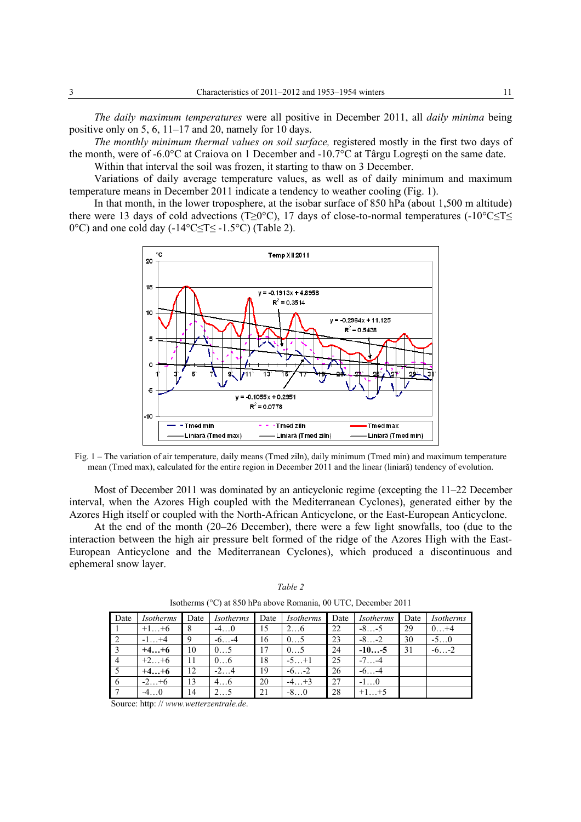*The daily maximum temperatures* were all positive in December 2011, all *daily minima* being positive only on 5, 6, 11–17 and 20, namely for 10 days.

*The monthly minimum thermal values on soil surface,* registered mostly in the first two days of the month, were of -6.0°C at Craiova on 1 December and -10.7°C at Târgu Logreşti on the same date.

Within that interval the soil was frozen, it starting to thaw on 3 December.

Variations of daily average temperature values, as well as of daily minimum and maximum temperature means in December 2011 indicate a tendency to weather cooling (Fig. 1).

In that month, in the lower troposphere, at the isobar surface of 850 hPa (about 1,500 m altitude) there were 13 days of cold advections (T≥0°C), 17 days of close-to-normal temperatures (-10°C≤T≤ 0°C) and one cold day (-14°C≤T≤ -1.5°C) (Table 2).



Fig. 1 – The variation of air temperature, daily means (Tmed ziln), daily minimum (Tmed min) and maximum temperature mean (Tmed max), calculated for the entire region in December 2011 and the linear (liniară) tendency of evolution.

Most of December 2011 was dominated by an anticyclonic regime (excepting the 11–22 December interval, when the Azores High coupled with the Mediterranean Cyclones), generated either by the Azores High itself or coupled with the North-African Anticyclone, or the East-European Anticyclone.

At the end of the month (20–26 December), there were a few light snowfalls, too (due to the interaction between the high air pressure belt formed of the ridge of the Azores High with the East-European Anticyclone and the Mediterranean Cyclones), which produced a discontinuous and ephemeral snow layer.

| Date           | <i>Isotherms</i> | Date | <i>Isotherms</i> | Date | Isotherms | Date | <i>Isotherms</i> | Date | Isotherms |
|----------------|------------------|------|------------------|------|-----------|------|------------------|------|-----------|
|                | $+1+6$           | 8    | $-40$            | 15   | 26        | 22   | $-8-5$           | 29   | $0+4$     |
| $\sqrt{2}$     | $-1+4$           | 9    | $-6-4$           | 16   | 05        | 23   | $-8-2$           | 30   | $-50$     |
| $\overline{3}$ | $+4+6$           | 10   | 05               | 17   | 05        | 24   | $-10-5$          | 31   | $-6-2$    |
| $\overline{4}$ | $+2+6$           | 11   | 06               | 18   | $-5+1$    | 25   | $-7 -4$          |      |           |
| $\overline{5}$ | $+4+6$           | 12   | $-24$            | 19   | $-6-2$    | 26   | $-6-4$           |      |           |
| 6              | $-2+6$           | 13   | 46               | 20   | $-4+3$    | 27   | $-1\dots0$       |      |           |
|                | $-40$            | 14   |                  | 21   | $-80$     | 28   | $+1+5$           |      |           |

*Table 2*  Isotherms (°C) at 850 hPa above Romania, 00 UTC, December 2011

Source: http: // *www.wetterzentrale.de*.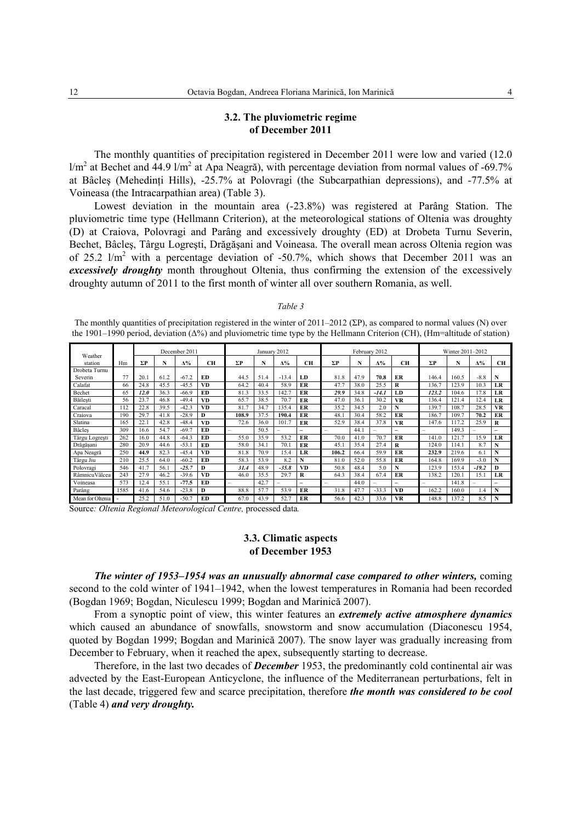### **3.2. The pluviometric regime of December 2011**

The monthly quantities of precipitation registered in December 2011 were low and varied (12.0  $1/m^2$  at Bechet and 44.9  $1/m^2$  at Apa Neagră), with percentage deviation from normal values of -69.7% at Bâcles (Mehedinti Hills), -25.7% at Polovragi (the Subcarpathian depressions), and -77.5% at Voineasa (the Intracarpathian area) (Table 3).

Lowest deviation in the mountain area (-23.8%) was registered at Parâng Station. The pluviometric time type (Hellmann Criterion), at the meteorological stations of Oltenia was droughty (D) at Craiova, Polovragi and Parâng and excessively droughty (ED) at Drobeta Turnu Severin, Bechet, Bâcleş, Târgu Logreşti, Drăgăşani and Voineasa. The overall mean across Oltenia region was of 25.2  $1/m^2$  with a percentage deviation of -50.7%, which shows that December 2011 was an *excessively droughty* month throughout Oltenia, thus confirming the extension of the excessively droughty autumn of 2011 to the first month of winter all over southern Romania, as well.

#### *Table 3*

The monthly quantities of precipitation registered in the winter of 2011–2012 (ΣP), as compared to normal values (N) over the 1901–1990 period, deviation (Δ%) and pluviometric time type by the Hellmann Criterion (CH), (Hm=altitude of station)

|                    |      |            |      | December 2011 |           |                          | January 2012 |                          |    |                          |      | February 2012   |                          |       | Winter 2011-2012 |            |                          |
|--------------------|------|------------|------|---------------|-----------|--------------------------|--------------|--------------------------|----|--------------------------|------|-----------------|--------------------------|-------|------------------|------------|--------------------------|
| Weather<br>station | Hm   | $\Sigma P$ | N    | $\Delta\%$    | CН        | ΣΡ                       | N            | $\Delta\%$               | CН | ΣΡ                       | N    | $\Delta\%$      | CН                       | ΣΡ    | N                | $\Delta\%$ | CН                       |
| Drobeta Turnu      |      |            |      |               |           |                          |              |                          |    |                          |      |                 |                          |       |                  |            |                          |
| Severin            | 77   | 20.1       | 61.2 | $-67.2$       | ED        | 44.5                     | 51.4         | $-13.4$                  | LD | 81.8                     | 47.9 | 70.8            | ER                       | 146.4 | 160.5            | $-8.8$     | N                        |
| Calafat            | 66   | 24.8       | 45.5 | $-45.5$       | VD        | 64.2                     | 40.4         | 58.9                     | ER | 47.7                     | 38.0 | 25.5            | R                        | 136.7 | 123.9            | 10.3       | LR                       |
| Bechet             | 65   | 12.0       | 36.3 | $-66.9$       | ED        | 81.3                     | 33.5         | 142.7                    | ER | 29.9                     | 34.8 | $-14.1$         | LD                       | 123.2 | 104.6            | 17.8       | LR                       |
| Băilești           | 56   | 23.7       | 46.8 | $-49.4$       | <b>VD</b> | 65.7                     | 38.5         | 70.7                     | ER | 47.0                     | 36.  | 30.2            | <b>VR</b>                | 136.4 | 121.4            | 12.4       | LR                       |
| Caracal            | 112  | 22.8       | 39.5 | $-42.3$       | VD        | 81.7                     | 34.7         | 135.4                    | ER | 35.2                     | 34.5 | 2.0             | N                        | 139.7 | 108.7            | 28.5       | <b>VR</b>                |
| Craiova            | 190  | 29.7       | 41.8 | $-28.9$       | D         | 108.9                    | 37.5         | 190.4                    | ER | 48.1                     | 30.4 | 58.2            | ER                       | 186.7 | 109.7            | 70.2       | ER                       |
| Slatina            | 165  | 22.1       | 42.8 | $-48.4$       | VD        | 72.6                     | 36.0         | 101.7                    | ER | 52.9                     | 38.4 | 37.8            | <b>VR</b>                | 147.6 | 117.2            | 25.9       | R                        |
| <b>Bâcles</b>      | 309  | 16.6       | 54.7 | $-69.7$       | ED        | $\overline{\phantom{0}}$ | 50.5         | $\sim$                   | -  | $\qquad \qquad$          | 44.  | $\qquad \qquad$ | $\overline{\phantom{0}}$ | -     | 149.3            | $\equiv$   | $\overline{\phantom{0}}$ |
| Târgu Logrești     | 262  | 16.0       | 44.8 | $-64.3$       | ED        | 55.0                     | 35.9         | 53.2                     | ER | 70.0                     | 41.0 | 70.7            | ER                       | 141.0 | 121.7            | 15.9       | LR                       |
| Drăgășanı          | 280  | 20.9       | 44.6 | $-53.1$       | ED        | 58.0                     | 34.1         | 70.1                     | ER | 45.1                     | 35.4 | 27.4            | R                        | 124.0 | 114.1            | 8.7        | N                        |
| Apa Neagră         | 250  | 44.9       | 82.3 | $-45.4$       | VD        | 81.8                     | 70.9         | 15.4                     | LR | 106.2                    | 66.4 | 59.9            | ER                       | 232.9 | 219.6            | 6.1        | N                        |
| Târgu Jiu          | 210  | 25.5       | 64.0 | $-60.2$       | ED        | 58.3                     | 53.9         | 8.2                      | N  | 81.0                     | 52.0 | 55.8            | ER                       | 164.8 | 169.9            | $-3.0$     | N                        |
| Polovragi          | 546  | 41.7       | 56.1 | $-25.7$       | D         | 31.4                     | 48.9         | $-35.8$                  | VD | 50.8                     | 48.4 | 5.0             | N                        | 123.9 | 153.4            | $-19.2$    | D                        |
| RâmnicuVâlcea      | 243  | 27.9       | 46.2 | $-39.6$       | VD        | 46.0                     | 35.5         | 29.7                     | R  | 64.3                     | 38.4 | 67.4            | ER                       | 138.2 | 120.1            | 15.1       | LR                       |
| Voineasa           | 573  | 12.4       | 55.1 | $-77.5$       | ED        | -                        | 42.7         | $\overline{\phantom{a}}$ | -  | $\overline{\phantom{a}}$ | 44.0 | $\qquad \qquad$ | $\overline{\phantom{0}}$ | -     | 141.8            | $\equiv$   | $\overline{\phantom{0}}$ |
| Parâng             | 1585 | 41.6       | 54.6 | $-23.8$       | D         | 88.8                     | 57.7         | 53.9                     | ER | 31.8                     | 47.7 | $-33.3$         | <b>VD</b>                | 162.2 | 160.0            | 1.4        | N                        |
| Mean for Oltenia   |      | 25.2       | 51.0 | $-50.7$       | ED        | 67.0                     | 43.9         | 52.7                     | ER | 56.6                     | 42.3 | 33.6            | <b>VR</b>                | 148.8 | 137.2            | 8.5        | N                        |

Source*: Oltenia Regional Meteorological Centre,* processed data*.* 

## **3.3. Climatic aspects of December 1953**

*The winter of 1953–1954 was an unusually abnormal case compared to other winters,* coming second to the cold winter of 1941–1942, when the lowest temperatures in Romania had been recorded (Bogdan 1969; Bogdan, Niculescu 1999; Bogdan and Marinică 2007).

From a synoptic point of view, this winter features an *extremely active atmosphere dynamics*  which caused an abundance of snowfalls, snowstorm and snow accumulation (Diaconescu 1954, quoted by Bogdan 1999; Bogdan and Marinică 2007). The snow layer was gradually increasing from December to February, when it reached the apex, subsequently starting to decrease.

Therefore, in the last two decades of *December* 1953, the predominantly cold continental air was advected by the East-European Anticyclone, the influence of the Mediterranean perturbations, felt in the last decade, triggered few and scarce precipitation, therefore *the month was considered to be cool*  (Table 4) *and very droughty.*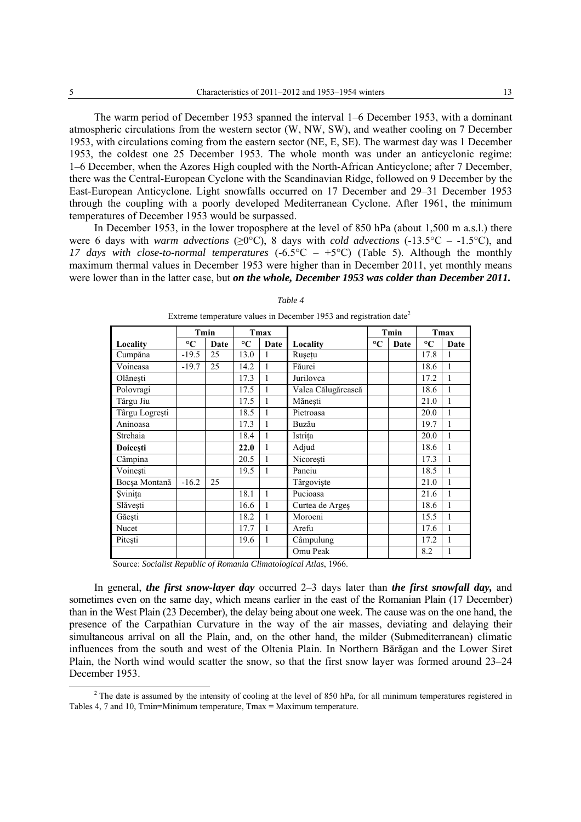The warm period of December 1953 spanned the interval 1–6 December 1953, with a dominant atmospheric circulations from the western sector (W, NW, SW), and weather cooling on 7 December 1953, with circulations coming from the eastern sector (NE, E, SE). The warmest day was 1 December 1953, the coldest one 25 December 1953. The whole month was under an anticyclonic regime: 1–6 December, when the Azores High coupled with the North-African Anticyclone; after 7 December, there was the Central-European Cyclone with the Scandinavian Ridge, followed on 9 December by the East-European Anticyclone. Light snowfalls occurred on 17 December and 29–31 December 1953 through the coupling with a poorly developed Mediterranean Cyclone. After 1961, the minimum temperatures of December 1953 would be surpassed.

In December 1953, in the lower troposphere at the level of 850 hPa (about 1,500 m a.s.l.) there were 6 days with warm advections ( $\geq 0^{\circ}$ C), 8 days with cold advections (-13.5°C – -1.5°C), and 17 days with close-to-normal temperatures  $(-6.5^{\circ}\text{C} - +5^{\circ}\text{C})$  (Table 5). Although the monthly maximum thermal values in December 1953 were higher than in December 2011, yet monthly means were lower than in the latter case, but on the whole, December 1953 was colder than December 2011.

|                |                 | Tmin |                 | Tmax |                    | Tmin            |      | Tmax            |      |
|----------------|-----------------|------|-----------------|------|--------------------|-----------------|------|-----------------|------|
| Locality       | $\rm ^{\circ}C$ | Date | $\rm ^{\circ}C$ | Date | Locality           | $\rm ^{\circ}C$ | Date | $\rm ^{\circ}C$ | Date |
| Cumpăna        | $-19.5$         | 25   | 13.0            | 1    | Rusetu             |                 |      | 17.8            | 1    |
| Voineasa       | $-19.7$         | 25   | 14.2            | 1    | Făurei             |                 |      | 18.6            |      |
| Olănesti       |                 |      | 17.3            | 1    | Jurilovca          |                 |      | 17.2            |      |
| Polovragi      |                 |      | 17.5            | 1    | Valea Călugărească |                 |      | 18.6            |      |
| Târgu Jiu      |                 |      | 17.5            | 1    | Mănești            |                 |      | 21.0            |      |
| Târgu Logrești |                 |      | 18.5            | 1    | Pietroasa          |                 |      | 20.0            |      |
| Aninoasa       |                 |      | 17.3            | 1    | Buzău              |                 |      | 19.7            | 1    |
| Strehaia       |                 |      | 18.4            | 1    | Istrita            |                 |      | 20.0            |      |
| Doicesti       |                 |      | 22.0            | 1    | Adjud              |                 |      | 18.6            |      |
| Câmpina        |                 |      | 20.5            | 1    | Nicoresti          |                 |      | 17.3            |      |
| Voinești       |                 |      | 19.5            | 1    | Panciu             |                 |      | 18.5            |      |
| Bocșa Montană  | $-16.2$         | 25   |                 |      | Târgoviște         |                 |      | 21.0            |      |
| Svinița        |                 |      | 18.1            | 1    | Pucioasa           |                 |      | 21.6            | 1    |
| Slăvești       |                 |      | 16.6            | 1    | Curtea de Arges    |                 |      | 18.6            |      |
| Găești         |                 |      | 18.2            | 1    | Moroeni            |                 |      | 15.5            |      |
| Nucet          |                 |      | 17.7            | 1    | Arefu              |                 |      | 17.6            |      |
| Pitești        |                 |      | 19.6            | 1    | Câmpulung          |                 |      | 17.2            |      |
|                |                 |      |                 |      | Omu Peak           |                 |      | 8.2             |      |

#### Table 4

Extreme temperature values in December 1953 and registration date<sup>2</sup>

Source: Socialist Republic of Romania Climatological Atlas, 1966.

In general, the first snow-layer day occurred  $2-3$  days later than the first snowfall day, and sometimes even on the same day, which means earlier in the east of the Romanian Plain (17 December) than in the West Plain (23 December), the delay being about one week. The cause was on the one hand, the presence of the Carpathian Curvature in the way of the air masses, deviating and delaying their simultaneous arrival on all the Plain, and, on the other hand, the milder (Submediterranean) climatic influences from the south and west of the Oltenia Plain. In Northern Bărăgan and the Lower Siret Plain, the North wind would scatter the snow, so that the first snow layer was formed around 23–24 December 1953.

 $2$  The date is assumed by the intensity of cooling at the level of 850 hPa, for all minimum temperatures registered in Tables 4, 7 and 10, Tmin=Minimum temperature, Tmax = Maximum temperature.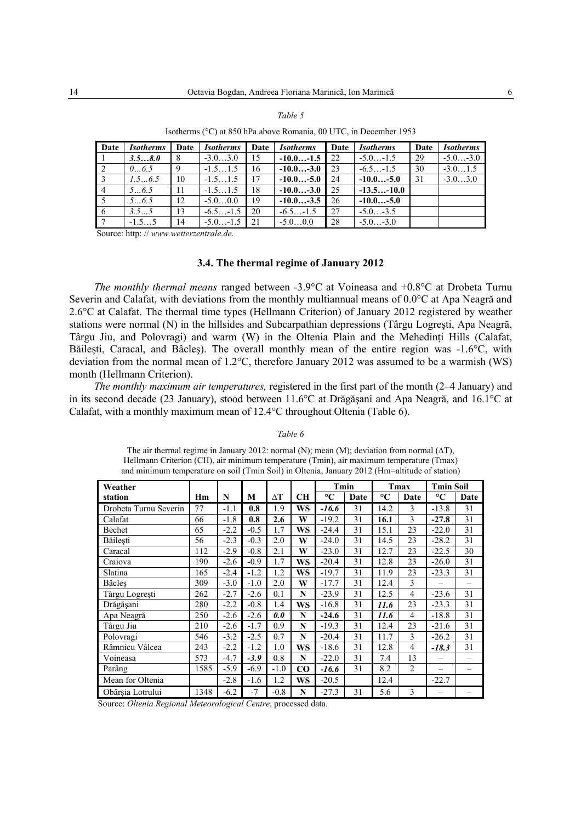#### Table 5

| Date           | <b>Isotherms</b> | Date | <b>Isotherms</b> | Date | <i>Isotherms</i> | Date | <b>Isotherms</b> | Date | <b>Isotherms</b> |
|----------------|------------------|------|------------------|------|------------------|------|------------------|------|------------------|
|                | 3.58.0           |      | $-3.03.0$        | 15   | $-10.0-1.5$      | 22   | $-5.0-1.5$       | -29  | $-5.0-3.0$       |
| 2              | 0.65             |      | $-1.51.5$        | 16   | $-10.0-3.0$      | 23   | $-6.5-1.5$       | -30  | $-3.01.5$        |
| 3              | 1.56.5           | 10   | $-1.51.5$        | 17   | $-10.0-5.0$      | 24   | $-10.0$ -5.0     | 31   | $-3.03.0$        |
| $\overline{4}$ | $5 \dots 6.5$    |      | $-1.51.5$        | 18   | $-10.0-3.0$      | 25   | $-13.5-10.0$     |      |                  |
| 5              | $5 \dots 6.5$    | 12   | $-5.00.0$        | 19   | $-10.0-3.5$      | 26   | $-10.0$ -5.0     |      |                  |
| 6              |                  |      | $-6.5$ $-1.5$    | 20   | $-6.5-1.5$       | 27   | $-5.0 - 3.5$     |      |                  |

 $-5.0$ 

 $0<sub>0</sub>$ 

 $28$ 

 $-5.0$ 

 $3<sub>0</sub>$ 

Isotherms (°C) at 850 hPa above Romania, 00 UTC, in December 1953

Source: http://www.wetterzentrale.de.

 $\overline{14}$ 

### 3.4. The thermal regime of January 2012

The monthly thermal means ranged between -3.9 $\degree$ C at Voineasa and +0.8 $\degree$ C at Drobeta Turnu Severin and Calafat, with deviations from the monthly multiannual means of  $0.0^{\circ}$ C at Apa Neagră and 2.6 °C at Calafat. The thermal time types (Hellmann Criterion) of January 2012 registered by weather stations were normal (N) in the hillsides and Subcarpathian depressions (Târgu Logrești, Apa Neagră, Târgu Jiu, and Polovragi) and warm (W) in the Oltenia Plain and the Mehedinti Hills (Calafat, Băilești, Caracal, and Bâcleș). The overall monthly mean of the entire region was -1.6°C, with deviation from the normal mean of  $1.2^{\circ}$ C, therefore January 2012 was assumed to be a warmish (WS) month (Hellmann Criterion).

The monthly maximum air temperatures, registered in the first part of the month (2–4 January) and in its second decade (23 January), stood between  $11.6^{\circ}$ C at Drăgășani and Apa Neagră, and 16.1°C at Calafat, with a monthly maximum mean of 12.4°C throughout Oltenia (Table 6).

#### Table 6

The air thermal regime in January 2012: normal (N); mean (M); deviation from normal ( $\Delta T$ ), Hellmann Criterion (CH), air minimum temperature (Tmin), air maximum temperature (Tmax) and minimum temperature on soil (Tmin Soil) in Oltenia, January 2012 (Hm=altitude of station)

| Weather               |      |        |        |        |           | Tmin            |      |                 | Tmax           | <b>Tmin Soil</b>         |          |
|-----------------------|------|--------|--------|--------|-----------|-----------------|------|-----------------|----------------|--------------------------|----------|
| station               | Hm   | N      | М      | ΔT     | <b>CH</b> | $\rm ^{\circ}C$ | Date | $\rm ^{\circ}C$ | Date           | $\rm ^{\circ}C$          | Date     |
| Drobeta Turnu Severin | 77   | $-1.1$ | 0.8    | 1.9    | <b>WS</b> | $-16.6$         | 31   | 14.2            | 3              | $-13.8$                  | 31       |
| Calafat               | 66   | $-1.8$ | 0.8    | 2.6    | W         | $-19.2$         | 31   | 16.1            | 3              | $-27.8$                  | 31       |
| Bechet                | 65   | $-2.2$ | $-0.5$ | 1.7    | WS        | $-24.4$         | 31   | 15.1            | 23             | $-22.0$                  | 31       |
| Băilesti              | 56   | $-2.3$ | $-0.3$ | 2.0    | W         | $-24.0$         | 31   | 14.5            | 23             | $-28.2$                  | 31       |
| Caracal               | 112  | $-2.9$ | $-0.8$ | 2.1    | W         | $-23.0$         | 31   | 12.7            | 23             | $-22.5$                  | 30       |
| Craiova               | 190  | $-2.6$ | $-0.9$ | 1.7    | WS        | $-20.4$         | 31   | 12.8            | 23             | $-26.0$                  | 31       |
| Slatina               | 165  | $-2.4$ | $-1.2$ | 1.2    | <b>WS</b> | $-19.7$         | 31   | 11.9            | 23             | $-23.3$                  | 31       |
| <b>Bâcles</b>         | 309  | $-3.0$ | $-1.0$ | 2.0    | W         | $-17.7$         | 31   | 12.4            | 3              |                          |          |
| Târgu Logrești        | 262  | $-2.7$ | $-2.6$ | 0.1    | N         | $-23.9$         | 31   | 12.5            | $\overline{4}$ | $-23.6$                  | 31       |
| Drăgășani             | 280  | $-2.2$ | $-0.8$ | 1.4    | WS        | $-16.8$         | 31   | 11.6            | 23             | $-23.3$                  | 31       |
| Apa Neagră            | 250  | $-2.6$ | $-2.6$ | 0.0    | N         | $-24.6$         | 31   | 11.6            | 4              | $-18.8$                  | 31       |
| Târgu Jiu             | 210  | $-2.6$ | $-1.7$ | 0.9    | N         | $-19.3$         | 31   | 12.4            | 23             | $-21.6$                  | 31       |
| Polovragi             | 546  | $-3.2$ | $-2.5$ | 0.7    | N         | $-20.4$         | 31   | 11.7            | 3              | $-26.2$                  | 31       |
| Râmnicu Vâlcea        | 243  | $-2.2$ | $-1.2$ | 1.0    | WS        | $-18.6$         | 31   | 12.8            | 4              | $-18.3$                  | 31       |
| Voineasa              | 573  | $-4.7$ | $-3.9$ | 0.8    | N         | $-22.0$         | 31   | 7.4             | 13             | $\overline{\phantom{0}}$ | $\equiv$ |
| Parâng                | 1585 | $-5.9$ | $-6.9$ | $-1.0$ | $\bf CO$  | $-16.6$         | 31   | 8.2             | $\overline{2}$ |                          |          |
| Mean for Oltenia      |      | $-2.8$ | $-1.6$ | 1.2    | <b>WS</b> | $-20.5$         |      | 12.4            |                | $-22.7$                  |          |
| Obârsia Lotrului      | 1348 | $-6.2$ | $-7$   | $-0.8$ | N         | $-27.3$         | 31   | 5.6             | 3              |                          |          |

Source: Oltenia Regional Meteorological Centre, processed data.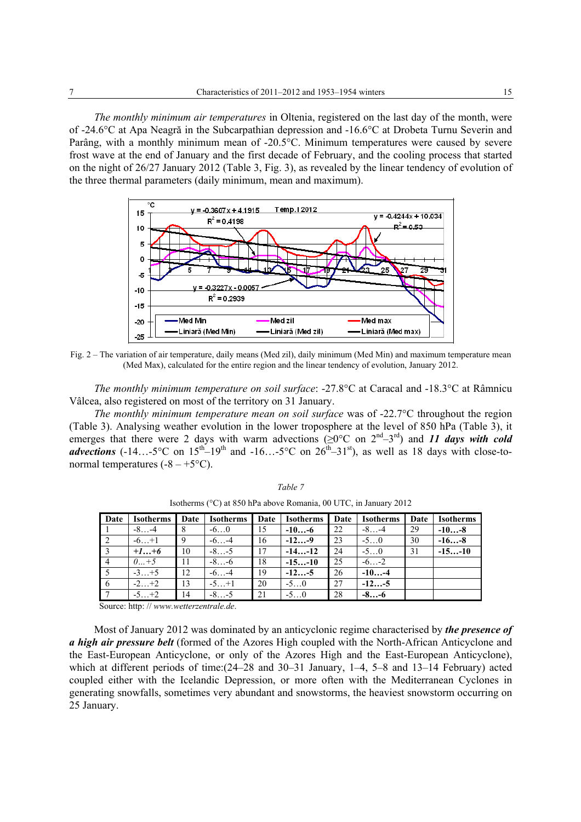*The monthly minimum air temperatures* in Oltenia, registered on the last day of the month, were of -24.6°C at Apa Neagră in the Subcarpathian depression and -16.6°C at Drobeta Turnu Severin and Parâng, with a monthly minimum mean of -20.5°C. Minimum temperatures were caused by severe frost wave at the end of January and the first decade of February, and the cooling process that started on the night of 26/27 January 2012 (Table 3, Fig. 3), as revealed by the linear tendency of evolution of the three thermal parameters (daily minimum, mean and maximum).



Fig. 2 – The variation of air temperature, daily means (Med zil), daily minimum (Med Min) and maximum temperature mean (Med Max), calculated for the entire region and the linear tendency of evolution, January 2012.

*The monthly minimum temperature on soil surface*: -27.8°C at Caracal and -18.3°C at Râmnicu Vâlcea, also registered on most of the territory on 31 January.

*The monthly minimum temperature mean on soil surface* was of -22.7°C throughout the region (Table 3). Analysing weather evolution in the lower troposphere at the level of 850 hPa (Table 3), it emerges that there were 2 days with warm advections ( $\geq 0^{\circ}$ C on  $2^{nd}-3^{rd}$ ) and *11 days with cold advections*  $(-14...5^{\circ}C$  on  $15^{th} - 19^{th}$  and  $-16...5^{\circ}C$  on  $26^{th} - 31^{st}$ ), as well as 18 days with close-tonormal temperatures  $(-8 - +5^{\circ}C)$ .

| Date            | <b>Isotherms</b> | Date | <b>Isotherms</b> | Date | <b>Isotherms</b> | Date | <b>Isotherms</b> | Date | <b>Isotherms</b> |
|-----------------|------------------|------|------------------|------|------------------|------|------------------|------|------------------|
|                 | $-8$ $-4$        | -8   | $-60$            | 15   | $-10-6$          | 22   | $-8-4$           | -29  | $-10-8$          |
| $\sqrt{2}$      | $-6 + 1$         | -9   | $-6$ –4          | 16   | $-12-9$          | -23  | $-5$ . 0         | 30   | $-16-8$          |
| $\vert 3 \vert$ | $+1+6$           | 10   | $-8$ . $-5$      | 17   | $-14-12$         | 24   | $-5$ . 0         | 31   | $-15-10$         |
| $\overline{4}$  | $0+5$            | -11  | $-8-6$           | 18   | $-15-10$         | 25   | $-6-2$           |      |                  |
|                 | $-3+5$           | 12   | $-6$ –4          | 19   | $-12-5$          | 26   | $-10-4$          |      |                  |
| - 6             | $-2+2$           | 13   | $-5+1$           | 20   | $-50$            | 27   | $-12-5$          |      |                  |
|                 | $-5+2$           | 14   | $-8$ $-5$        | 21   | $-50$            | 28   | $-8-6$           |      |                  |

*Table 7*  Isotherms (°C) at 850 hPa above Romania, 00 UTC, in January 2012

Source: http: // *www.wetterzentrale.de*.

Most of January 2012 was dominated by an anticyclonic regime characterised by *the presence of a high air pressure belt* (formed of the Azores High coupled with the North-African Anticyclone and the East-European Anticyclone, or only of the Azores High and the East-European Anticyclone), which at different periods of time:(24–28 and 30–31 January, 1–4, 5–8 and 13–14 February) acted coupled either with the Icelandic Depression, or more often with the Mediterranean Cyclones in generating snowfalls, sometimes very abundant and snowstorms, the heaviest snowstorm occurring on 25 January.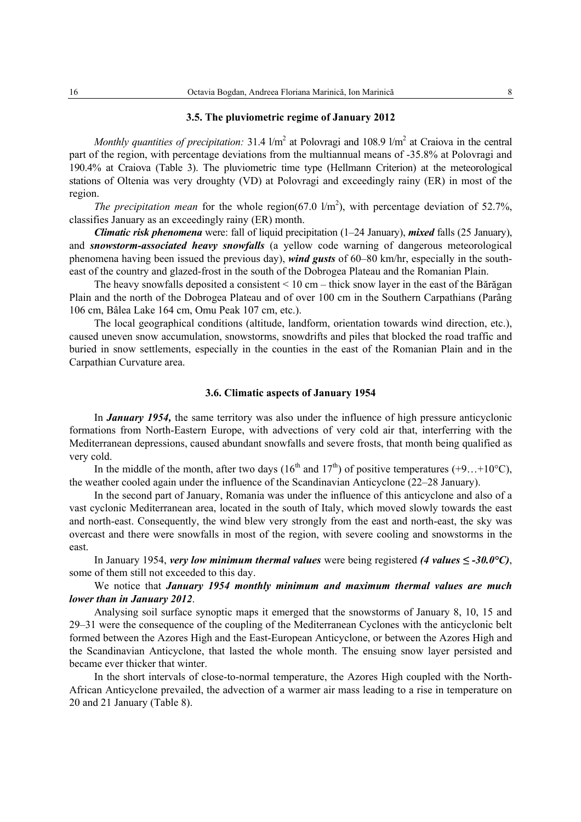### **3.5. The pluviometric regime of January 2012**

*Monthly quantities of precipitation:* 31.4  $1/m^2$  at Polovragi and 108.9  $1/m^2$  at Craiova in the central part of the region, with percentage deviations from the multiannual means of -35.8% at Polovragi and 190.4% at Craiova (Table 3). The pluviometric time type (Hellmann Criterion) at the meteorological stations of Oltenia was very droughty (VD) at Polovragi and exceedingly rainy (ER) in most of the region.

*The precipitation mean* for the whole region( $67.0 \text{ l/m}^2$ ), with percentage deviation of  $52.7\%$ , classifies January as an exceedingly rainy (ER) month.

*Climatic risk phenomena* were: fall of liquid precipitation (1–24 January), *mixed* falls (25 January), and *snowstorm-associated heavy snowfalls* (a yellow code warning of dangerous meteorological phenomena having been issued the previous day), *wind gusts* of 60–80 km/hr, especially in the southeast of the country and glazed-frost in the south of the Dobrogea Plateau and the Romanian Plain.

The heavy snowfalls deposited a consistent < 10 cm – thick snow layer in the east of the Bărăgan Plain and the north of the Dobrogea Plateau and of over 100 cm in the Southern Carpathians (Parâng 106 cm, Bâlea Lake 164 cm, Omu Peak 107 cm, etc.).

The local geographical conditions (altitude, landform, orientation towards wind direction, etc.), caused uneven snow accumulation, snowstorms, snowdrifts and piles that blocked the road traffic and buried in snow settlements, especially in the counties in the east of the Romanian Plain and in the Carpathian Curvature area.

### **3.6. Climatic aspects of January 1954**

In *January 1954,* the same territory was also under the influence of high pressure anticyclonic formations from North-Eastern Europe, with advections of very cold air that, interferring with the Mediterranean depressions, caused abundant snowfalls and severe frosts, that month being qualified as very cold.

In the middle of the month, after two days (16<sup>th</sup> and 17<sup>th</sup>) of positive temperatures (+9...+10<sup>o</sup>C), the weather cooled again under the influence of the Scandinavian Anticyclone (22–28 January).

In the second part of January, Romania was under the influence of this anticyclone and also of a vast cyclonic Mediterranean area, located in the south of Italy, which moved slowly towards the east and north-east. Consequently, the wind blew very strongly from the east and north-east, the sky was overcast and there were snowfalls in most of the region, with severe cooling and snowstorms in the east.

In January 1954, *very low minimum thermal values* were being registered *(4 values ≤ -30.0°C)*, some of them still not exceeded to this day.

We notice that *January 1954 monthly minimum and maximum thermal values are much lower than in January 2012*.

Analysing soil surface synoptic maps it emerged that the snowstorms of January 8, 10, 15 and 29–31 were the consequence of the coupling of the Mediterranean Cyclones with the anticyclonic belt formed between the Azores High and the East-European Anticyclone, or between the Azores High and the Scandinavian Anticyclone, that lasted the whole month. The ensuing snow layer persisted and became ever thicker that winter.

In the short intervals of close-to-normal temperature, the Azores High coupled with the North-African Anticyclone prevailed, the advection of a warmer air mass leading to a rise in temperature on 20 and 21 January (Table 8).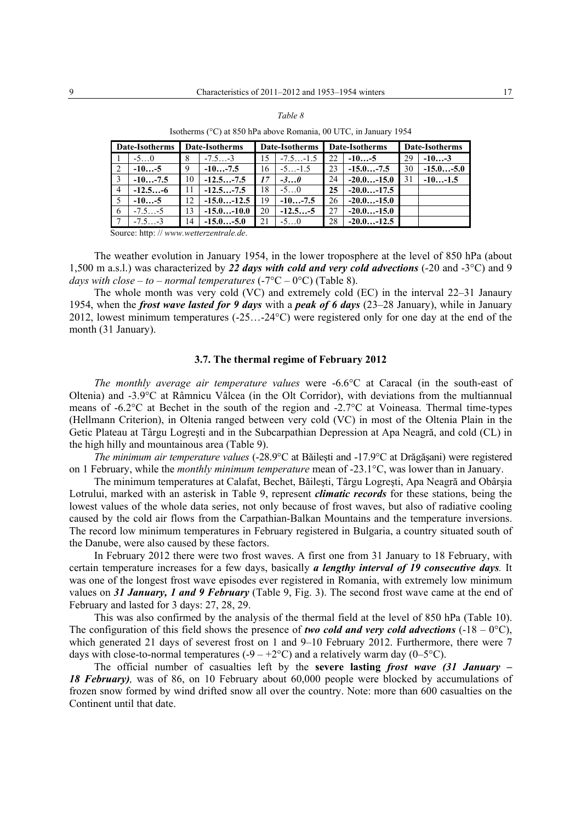#### *Table 8*

|                | Date-Isotherms |    | Date-Isotherms |    | Date-Isotherms |    | Date-Isotherms |    | Date-Isotherms |
|----------------|----------------|----|----------------|----|----------------|----|----------------|----|----------------|
|                | $-50$          | 8  | $-7.5-3$       | 15 | $-7.5-1.5$     | 22 | $-10-5$        | 29 | $-10-3$        |
| $\mathbf{1}$ 2 | $-10-5$        | 9  | $-10-7.5$      | 16 | $-5$ -1.5      | 23 | $-15.0-7.5$    | 30 | $-15.0$ -5.0   |
| $\sqrt{3}$     | $-10-7.5$      | 10 | $-12.5-7.5$    | 17 | $-30$          | 24 | $-20.0$ -15.0  | 31 | $-10-1.5$      |
| $\vert 4$      | $-12.5-6$      |    | $-12.5-7.5$    | 18 | $-5$ 0         | 25 | $-20.0$ -17.5  |    |                |
| $\mathsf{I}$ 5 | $-10-5$        | 12 | $-15.0-12.5$   | 19 | $-10-7.5$      | 26 | $-20.0-15.0$   |    |                |
| $\overline{6}$ | $-7.5-5$       | 13 | $-15.0-10.0$   | 20 | $-12.5-5$      | 27 | $-20.0-15.0$   |    |                |
| $\overline{1}$ | $-7.5-3$       | 14 | $-15.0-5.0$    | 21 | $-50$          | 28 | $-20.0-12.5$   |    |                |

Isotherms (°C) at 850 hPa above Romania, 00 UTC, in January 1954

Source: http: // *www.wetterzentrale.de*.

The weather evolution in January 1954, in the lower troposphere at the level of 850 hPa (about 1,500 m a.s.l.) was characterized by *22 days with cold and very cold advections* (-20 and -3°C) and 9 *days with close – to – normal temperatures*  $(-7^{\circ}C - 0^{\circ}C)$  (Table 8).

The whole month was very cold (VC) and extremely cold (EC) in the interval 22–31 Janaury 1954, when the *frost wave lasted for 9 days* with a *peak of 6 days* (23–28 January), while in January 2012, lowest minimum temperatures (-25…-24°C) were registered only for one day at the end of the month (31 January).

## **3.7. The thermal regime of February 2012**

*The monthly average air temperature values* were -6.6°C at Caracal (in the south-east of Oltenia) and -3.9°C at Râmnicu Vâlcea (in the Olt Corridor), with deviations from the multiannual means of -6.2°C at Bechet in the south of the region and -2.7°C at Voineasa. Thermal time-types (Hellmann Criterion), in Oltenia ranged between very cold (VC) in most of the Oltenia Plain in the Getic Plateau at Târgu Logreşti and in the Subcarpathian Depression at Apa Neagră, and cold (CL) in the high hilly and mountainous area (Table 9).

*The minimum air temperature values* (-28.9°C at Băileşti and -17.9°C at Drăgăşani) were registered on 1 February, while the *monthly minimum temperature* mean of -23.1°C, was lower than in January.

The minimum temperatures at Calafat, Bechet, Băileşti, Târgu Logreşti, Apa Neagră and Obârşia Lotrului, marked with an asterisk in Table 9, represent *climatic records* for these stations, being the lowest values of the whole data series, not only because of frost waves, but also of radiative cooling caused by the cold air flows from the Carpathian-Balkan Mountains and the temperature inversions. The record low minimum temperatures in February registered in Bulgaria, a country situated south of the Danube, were also caused by these factors.

In February 2012 there were two frost waves. A first one from 31 January to 18 February, with certain temperature increases for a few days, basically *a lengthy interval of 19 consecutive days.* It was one of the longest frost wave episodes ever registered in Romania, with extremely low minimum values on *31 January, 1 and 9 February* (Table 9, Fig. 3). The second frost wave came at the end of February and lasted for 3 days: 27, 28, 29.

This was also confirmed by the analysis of the thermal field at the level of 850 hPa (Table 10). The configuration of this field shows the presence of *two cold and very cold advections*  $(-18 - 0^{\circ}C)$ , which generated 21 days of severest frost on 1 and 9–10 February 2012. Furthermore, there were 7 days with close-to-normal temperatures (-9 – +2 $^{\circ}$ C) and a relatively warm day (0–5 $^{\circ}$ C).

The official number of casualties left by the **severe lasting** *frost wave (31 January – 18 February),* was of 86, on 10 February about 60,000 people were blocked by accumulations of frozen snow formed by wind drifted snow all over the country. Note: more than 600 casualties on the Continent until that date.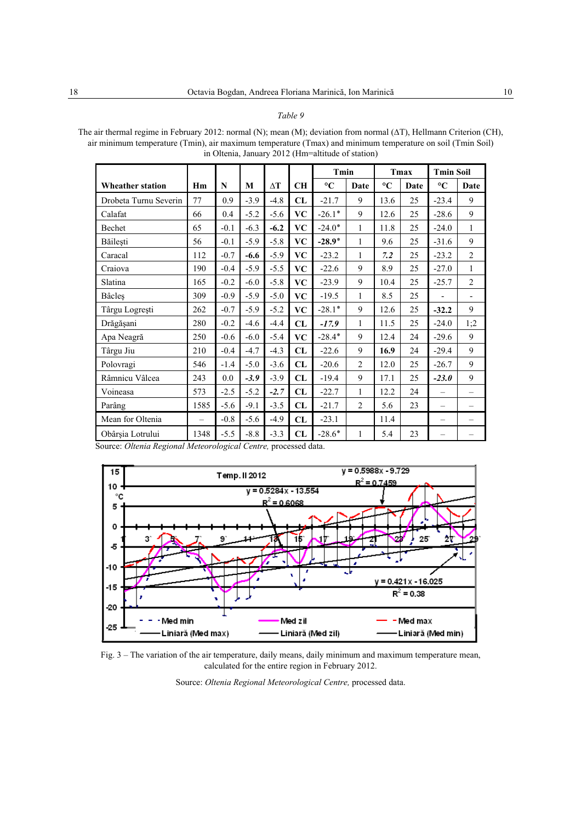Table 9

The air thermal regime in February 2012: normal (N); mean (M); deviation from normal ( $\Delta T$ ), Hellmann Criterion (CH), air minimum temperature (Tmin), air maximum temperature (Tmax) and minimum temperature on soil (Tmin Soil) in Oltenia, January 2012 (Hm=altitude of station)

|                                                                                                                                                                       |                          |        |        |            |                        | Tmin            |                | Tmax            |      | <b>Tmin Soil</b>         |                          |
|-----------------------------------------------------------------------------------------------------------------------------------------------------------------------|--------------------------|--------|--------|------------|------------------------|-----------------|----------------|-----------------|------|--------------------------|--------------------------|
| <b>Wheather station</b>                                                                                                                                               | Hm                       | N      | M      | $\Delta T$ | <b>CH</b>              | $\rm ^{\circ}C$ | Date           | $\rm ^{\circ}C$ | Date | $\rm ^{\circ}C$          | Date                     |
| Drobeta Turnu Severin                                                                                                                                                 | 77                       | 0.9    | $-3.9$ | $-4.8$     | CL                     | $-21.7$         | 9              | 13.6            | 25   | $-23.4$                  | 9                        |
| Calafat                                                                                                                                                               | 66                       | 0.4    | $-5.2$ | $-5.6$     | <b>VC</b>              | $-26.1*$        | 9              | 12.6            | 25   | $-28.6$                  | 9                        |
| Bechet                                                                                                                                                                | 65                       | $-0.1$ | $-6.3$ | $-6.2$     | <b>VC</b>              | $-24.0*$        | 1              | 11.8            | 25   | $-24.0$                  | $\mathbf{1}$             |
| Băilești                                                                                                                                                              | 56                       | $-0.1$ | $-5.9$ | $-5.8$     | <b>VC</b>              | $-28.9*$        | $\mathbf{1}$   | 9.6             | 25   | $-31.6$                  | 9                        |
| Caracal                                                                                                                                                               | 112                      | $-0.7$ | $-6.6$ | $-5.9$     | <b>VC</b>              | $-23.2$         | 1              | 7.2             | 25   | $-23.2$                  | $\overline{2}$           |
| Craiova                                                                                                                                                               | 190                      | $-0.4$ | $-5.9$ | $-5.5$     | <b>VC</b>              | $-22.6$         | 9              | 8.9             | 25   | $-27.0$                  | 1                        |
| Slatina                                                                                                                                                               | 165                      | $-0.2$ | $-6.0$ | $-5.8$     | $\mathbf{V}\mathbf{C}$ | $-23.9$         | 9              | 10.4            | 25   | $-25.7$                  | $\overline{2}$           |
| Bâcleş                                                                                                                                                                | 309                      | $-0.9$ | $-5.9$ | $-5.0$     | <b>VC</b>              | $-19.5$         | 1              | 8.5             | 25   | ٠                        | $\overline{\phantom{a}}$ |
| Târgu Logrești                                                                                                                                                        | 262                      | $-0.7$ | $-5.9$ | $-5.2$     | <b>VC</b>              | $-28.1*$        | 9              | 12.6            | 25   | $-32.2$                  | 9                        |
| Drăgășani                                                                                                                                                             | 280                      | $-0.2$ | $-4.6$ | $-4.4$     | CL                     | $-17.9$         | $\mathbf{1}$   | 11.5            | 25   | $-24.0$                  | 1;2                      |
| Apa Neagră                                                                                                                                                            | 250                      | $-0.6$ | $-6.0$ | $-5.4$     | <b>VC</b>              | $-28.4*$        | 9              | 12.4            | 24   | $-29.6$                  | 9                        |
| Târgu Jiu                                                                                                                                                             | 210                      | $-0.4$ | $-4.7$ | $-4.3$     | CL                     | $-22.6$         | 9              | 16.9            | 24   | $-29.4$                  | 9                        |
| Polovragi                                                                                                                                                             | 546                      | $-1.4$ | $-5.0$ | $-3.6$     | CL                     | $-20.6$         | $\overline{2}$ | 12.0            | 25   | $-26.7$                  | 9                        |
| Râmnicu Vâlcea                                                                                                                                                        | 243                      | 0.0    | $-3.9$ | $-3.9$     | CL                     | $-19.4$         | 9              | 17.1            | 25   | $-23.0$                  | 9                        |
| Voineasa                                                                                                                                                              | 573                      | $-2.5$ | $-5.2$ | $-2.7$     | CL                     | $-22.7$         | $\mathbf{1}$   | 12.2            | 24   | $\overline{\phantom{0}}$ | $\overline{\phantom{0}}$ |
| Parâng                                                                                                                                                                | 1585                     | $-5.6$ | $-9.1$ | $-3.5$     | CL                     | $-21.7$         | $\overline{2}$ | 5.6             | 23   | $\overline{\phantom{0}}$ | $\overline{\phantom{0}}$ |
| Mean for Oltenia                                                                                                                                                      | $\overline{\phantom{0}}$ | $-0.8$ | $-5.6$ | $-4.9$     | CL                     | $-23.1$         |                | 11.4            |      | -                        |                          |
| Obârșia Lotrului<br>$\Omega_1 \cup \Omega_2$ $\Omega_3$ $\Omega_4$ $\Omega_5$ $\Omega_7$ $\Omega_8$ $\Omega_9$ $\Omega_1$ $\Omega_2$ $\Omega_3$ $\Omega_3$ $\Omega_1$ | 1348                     | $-5.5$ | $-8.8$ | $-3.3$     | CL<br>$-2.1111$        | $-28.6*$        | 1              | 5.4             | 23   |                          |                          |

Source: Oltenia Regional Meteorological Centre, processed data.



Fig. 3 - The variation of the air temperature, daily means, daily minimum and maximum temperature mean, calculated for the entire region in February 2012.

Source: Oltenia Regional Meteorological Centre, processed data.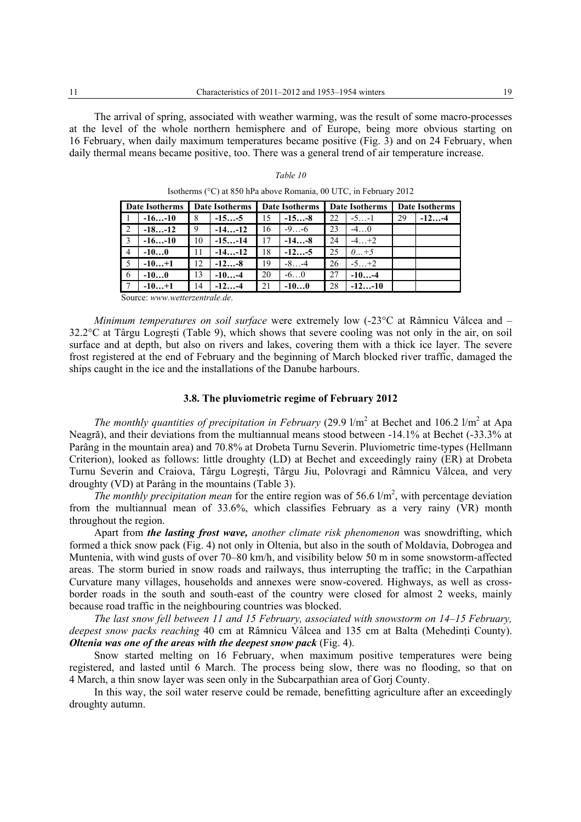The arrival of spring, associated with weather warming, was the result of some macro-processes at the level of the whole northern hemisphere and of Europe, being more obvious starting on 16 February, when daily maximum temperatures became positive (Fig. 3) and on 24 February, when daily thermal means became positive, too. There was a general trend of air temperature increase.

|  | Table | $\prime$ |
|--|-------|----------|
|--|-------|----------|

|                | Date Isotherms |     | Date Isotherms   Date Isotherms   Date Isotherms |    |           |     |           |    | Date Isotherms |
|----------------|----------------|-----|--------------------------------------------------|----|-----------|-----|-----------|----|----------------|
|                | $-16-10$       | -8  | $-15-5$                                          | 15 | $-15-8$   | 22  | $-5-1$    | 29 | $-12-4$        |
| $\sqrt{2}$     | $-18-12$       | -9  | $-14-12$                                         | 16 | $-9$ -6   | 23  | $-4$ 0    |    |                |
| $\overline{3}$ | $-16-10$       | 10  | $-15-14$                                         | 17 | $-14-8$   | 24  | $-4$ $+2$ |    |                |
| $\vert 4$      | $-100$         | -11 | $-14-12$                                         | 18 | $-12-5$   | 25  | $0 + 5$   |    |                |
| $\mathsf{L}$ 5 | $-10+1$        | 12  | $-12-8$                                          | 19 | $-8$ $-4$ | -26 | $-5+2$    |    |                |
| l 6            | $-100$         | 13  | $-10-4$                                          | 20 | $-60$     | 27  | $-10-4$   |    |                |
|                | $-10+1$        | 14  | $-12-4$                                          | 21 | $-100$    | 28  | $-12-10$  |    |                |

Isotherms (°C) at 850 hPa above Romania, 00 UTC, in February 2012

Source: *www.wetterzentrale.de*.

*Minimum temperatures on soil surface* were extremely low (-23°C at Râmnicu Vâlcea and – 32.2°C at Târgu Logreşti (Table 9), which shows that severe cooling was not only in the air, on soil surface and at depth, but also on rivers and lakes, covering them with a thick ice layer. The severe frost registered at the end of February and the beginning of March blocked river traffic, damaged the ships caught in the ice and the installations of the Danube harbours.

## **3.8. The pluviometric regime of February 2012**

*The monthly quantities of precipitation in February* (29.9  $1/m^2$  at Bechet and 106.2  $1/m^2$  at Apa Neagră), and their deviations from the multiannual means stood between -14.1% at Bechet (-33.3% at Parâng in the mountain area) and 70.8% at Drobeta Turnu Severin. Pluviometric time-types (Hellmann Criterion), looked as follows: little droughty (LD) at Bechet and exceedingly rainy (ER) at Drobeta Turnu Severin and Craiova, Târgu Logreşti, Târgu Jiu, Polovragi and Râmnicu Vâlcea, and very droughty (VD) at Parâng in the mountains (Table 3).

The monthly precipitation mean for the entire region was of 56.6  $1/m^2$ , with percentage deviation from the multiannual mean of 33.6%, which classifies February as a very rainy (VR) month throughout the region.

Apart from *the lasting frost wave, another climate risk phenomenon* was snowdrifting, which formed a thick snow pack (Fig. 4) not only in Oltenia, but also in the south of Moldavia, Dobrogea and Muntenia, with wind gusts of over 70–80 km/h, and visibility below 50 m in some snowstorm-affected areas. The storm buried in snow roads and railways, thus interrupting the traffic; in the Carpathian Curvature many villages, households and annexes were snow-covered. Highways, as well as crossborder roads in the south and south-east of the country were closed for almost 2 weeks, mainly because road traffic in the neighbouring countries was blocked.

*The last snow fell between 11 and 15 February, associated with snowstorm on 14–15 February, deepest snow packs reaching* 40 cm at Râmnicu Vâlcea and 135 cm at Balta (Mehedinti County). *Oltenia was one of the areas with the deepest snow pack* (Fig. 4).

Snow started melting on 16 February, when maximum positive temperatures were being registered, and lasted until 6 March. The process being slow, there was no flooding, so that on 4 March, a thin snow layer was seen only in the Subcarpathian area of Gorj County.

In this way, the soil water reserve could be remade, benefitting agriculture after an exceedingly droughty autumn.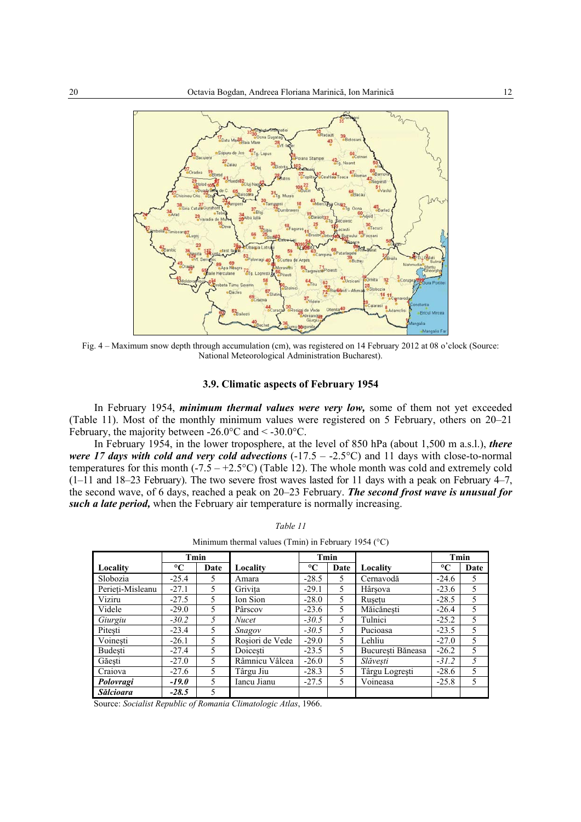

Fig. 4 – Maximum snow depth through accumulation (cm), was registered on 14 February 2012 at 08 o'clock (Source: National Meteorological Administration Bucharest).

### 3.9. Climatic aspects of February 1954

In February 1954, *minimum thermal values were very low*, some of them not yet exceeded (Table 11). Most of the monthly minimum values were registered on 5 February, others on 20–21 February, the majority between -26.0°C and < -30.0°C.

In February 1954, in the lower troposphere, at the level of 850 hPa (about 1,500 m a.s.l.), there were 17 days with cold and very cold advections  $(-17.5 - -2.5^{\circ}\text{C})$  and 11 days with close-to-normal temperatures for this month  $(-7.5 - +2.5^{\circ}C)$  (Table 12). The whole month was cold and extremely cold  $(1-11$  and  $18-23$  February). The two severe frost waves lasted for 11 days with a peak on February 4–7, the second wave, of 6 days, reached a peak on 20–23 February. The second frost wave is unusual for such a late period, when the February air temperature is normally increasing.

|                  |                 |      | Minimum thermal values (1 min) in February 1954 (°C) |                 |      |                   |                 |      |
|------------------|-----------------|------|------------------------------------------------------|-----------------|------|-------------------|-----------------|------|
|                  |                 | Tmin |                                                      |                 | Tmin |                   |                 | Tmin |
| Locality         | $\rm ^{\circ}C$ | Date | Locality                                             | $\rm ^{\circ}C$ | Date | Locality          | $\rm ^{\circ}C$ | Date |
| Slobozia         | $-25.4$         | 5.   | Amara                                                | $-28.5$         | 5.   | Cernavodă         | $-24.6$         | 5    |
| Perieti-Misleanu | $-27.1$         | 5    | Grivita                                              | $-29.1$         | 5.   | Hârșova           | $-23.6$         | 5    |
| Viziru           | $-27.5$         | 5.   | Ion Sion                                             | $-28.0$         | 5.   | Rusetu            | $-28.5$         | 5    |
| Videle           | $-29.0$         | 5    | Pârscov                                              | $-23.6$         | 5.   | Măicănesti        | $-26.4$         | 5    |
| Giurgiu          | $-30.2$         | 5    | <b>Nucet</b>                                         | $-30.5$         | 5.   | Tulnici           | $-25.2$         | 5    |
| Pitesti          | $-23.4$         | 5    | Snagov                                               | $-30.5$         | 5.   | Pucioasa          | $-23.5$         | 5    |
| Voinesti         | $-26.1$         | 5.   | Rosiori de Vede                                      | $-29.0$         | 5.   | Lehliu            | $-27.0$         | 5    |
| Budesti          | $-27.4$         | 5    | Doicesti                                             | $-23.5$         | 5.   | Bucuresti Băneasa | $-26.2$         | 5    |
| Găești           | $-27.0$         | 5    | Râmnicu Vâlcea                                       | $-26.0$         | 5.   | Slăvești          | $-31.2$         | 5    |
| Craiova          | $-27.6$         | 5    | Târgu Jiu                                            | $-28.3$         | 5.   | Târgu Logrești    | $-28.6$         | 5    |
| Polovragi        | $-19.0$         | 5    | Iancu Jianu                                          | $-27.5$         | 5.   | Voineasa          | $-25.8$         | 5    |
| <b>Sălcioara</b> | $-28.5$         | 5    |                                                      |                 |      |                   |                 |      |

Table 11 Minimum thermal values (Tmin) in February 1954 ( $^{\circ}$ C)

Source: Socialist Republic of Romania Climatologic Atlas, 1966.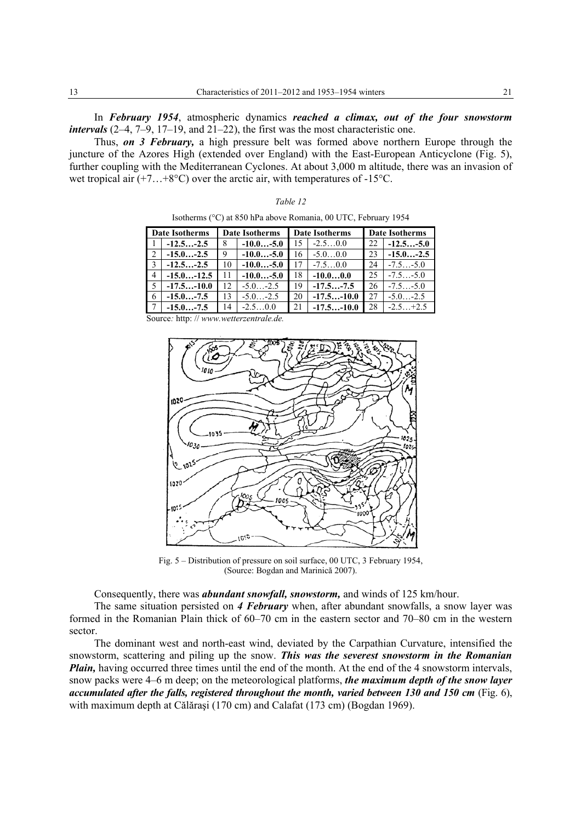In *February 1954*, atmospheric dynamics *reached a climax, out of the four snowstorm intervals* (2–4, 7–9, 17–19, and 21–22), the first was the most characteristic one.

Thus, *on 3 February,* a high pressure belt was formed above northern Europe through the juncture of the Azores High (extended over England) with the East-European Anticyclone (Fig. 5), further coupling with the Mediterranean Cyclones. At about 3,000 m altitude, there was an invasion of wet tropical air  $(+7...+8°C)$  over the arctic air, with temperatures of -15°C.

| anı |  |
|-----|--|
|-----|--|

Isotherms (°C) at 850 hPa above Romania, 00 UTC, February 1954

| Date Isotherms |              | <b>Date Isotherms</b> |              | Date Isotherms |              | Date Isotherms |              |
|----------------|--------------|-----------------------|--------------|----------------|--------------|----------------|--------------|
|                | $-12.5-2.5$  | 8                     | $-10.0-5.0$  | 15             | $-2.50.0$    | 22             | $-12.5-5.0$  |
| $\mathsf{I}2$  | $-15.0-2.5$  | 9                     | $-10.0$ -5.0 | 16.            | $-5.00.0$    | 23             | $-15.0-2.5$  |
| $\mathsf{I}$ 3 | $-12.5-2.5$  | 10                    | $-10.0-5.0$  | 17             | $-7.50.0$    | 24             | $-7.5-5.0$   |
| $\vert$ 4      | $-15.0-12.5$ | 11                    | $-10.0-5.0$  | 18             | $-10.00.0$   | 25             | $-7.5 - 5.0$ |
| $\mathsf{I}$ 5 | $-17.5-10.0$ | 12                    | $-5.0 - 2.5$ | 19             | $-17.5-7.5$  | 26             | $-7.5 - 5.0$ |
| $\overline{6}$ | $-15.0-7.5$  | 13                    | $-5.0 -2.5$  | 20             | $-17.5-10.0$ | 27             | $-5.0 - 2.5$ |
|                | $-15.0-7.5$  | 14                    | $-2.50.0$    | 21             | $-17.5-10.0$ | 28             | $-2.5+2.5$   |

Source*:* http: // *www.wetterzentrale.de.* 



Fig. 5 – Distribution of pressure on soil surface, 00 UTC, 3 February 1954, (Source: Bogdan and Marinică 2007).

Consequently, there was *abundant snowfall, snowstorm,* and winds of 125 km/hour.

The same situation persisted on *4 February* when, after abundant snowfalls, a snow layer was formed in the Romanian Plain thick of 60–70 cm in the eastern sector and 70–80 cm in the western sector.

The dominant west and north-east wind, deviated by the Carpathian Curvature, intensified the snowstorm, scattering and piling up the snow. *This was the severest snowstorm in the Romanian Plain,* having occurred three times until the end of the month. At the end of the 4 snowstorm intervals, snow packs were 4–6 m deep; on the meteorological platforms, *the maximum depth of the snow layer accumulated after the falls, registered throughout the month, varied between 130 and 150 cm* (Fig. 6), with maximum depth at Călăraşi (170 cm) and Calafat (173 cm) (Bogdan 1969).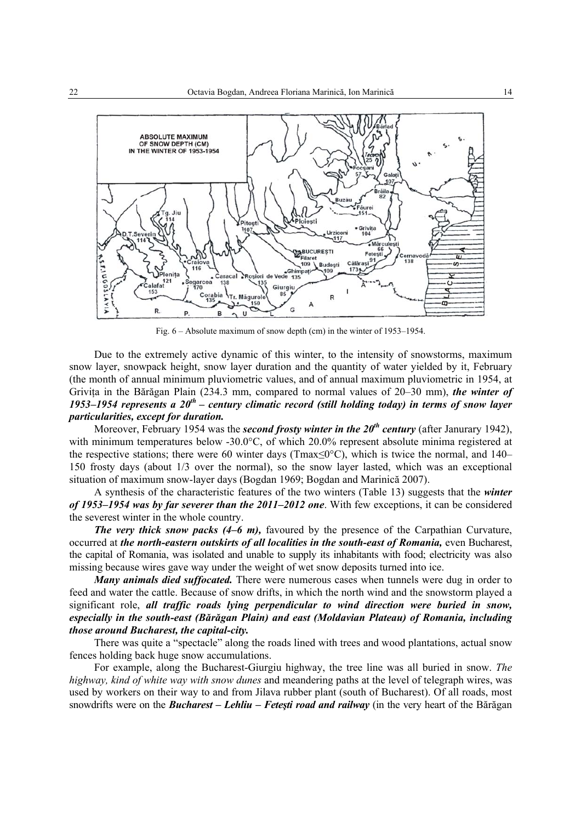

Fig. 6 – Absolute maximum of snow depth (cm) in the winter of 1953–1954.

Due to the extremely active dynamic of this winter, to the intensity of snowstorms, maximum snow layer, snowpack height, snow layer duration and the quantity of water yielded by it, February (the month of annual minimum pluviometric values, and of annual maximum pluviometric in 1954, at Grivita in the Bărăgan Plain (234.3 mm, compared to normal values of 20–30 mm), *the winter of 1953–1954 represents a 20th – century climatic record (still holding today) in terms of snow layer particularities, except for duration.* 

Moreover, February 1954 was the *second frosty winter in the 20<sup>th</sup> century* (after Janurary 1942), with minimum temperatures below -30.0°C, of which 20.0% represent absolute minima registered at the respective stations; there were 60 winter days (Tmax≤0°C), which is twice the normal, and 140– 150 frosty days (about 1/3 over the normal), so the snow layer lasted, which was an exceptional situation of maximum snow-layer days (Bogdan 1969; Bogdan and Marinică 2007).

A synthesis of the characteristic features of the two winters (Table 13) suggests that the *winter of 1953–1954 was by far severer than the 2011–2012 one*. With few exceptions, it can be considered the severest winter in the whole country.

*The very thick snow packs (4–6 m),* favoured by the presence of the Carpathian Curvature, occurred at *the north-eastern outskirts of all localities in the south-east of Romania*, even Bucharest, the capital of Romania, was isolated and unable to supply its inhabitants with food; electricity was also missing because wires gave way under the weight of wet snow deposits turned into ice.

*Many animals died suffocated.* There were numerous cases when tunnels were dug in order to feed and water the cattle. Because of snow drifts, in which the north wind and the snowstorm played a significant role, *all traffic roads lying perpendicular to wind direction were buried in snow, especially in the south-east (Bărăgan Plain) and east (Moldavian Plateau) of Romania, including those around Bucharest, the capital-city.* 

There was quite a "spectacle" along the roads lined with trees and wood plantations, actual snow fences holding back huge snow accumulations.

For example, along the Bucharest-Giurgiu highway, the tree line was all buried in snow. *The highway, kind of white way with snow dunes* and meandering paths at the level of telegraph wires, was used by workers on their way to and from Jilava rubber plant (south of Bucharest). Of all roads, most snowdrifts were on the *Bucharest – Lehliu – Feteşti road and railway* (in the very heart of the Bărăgan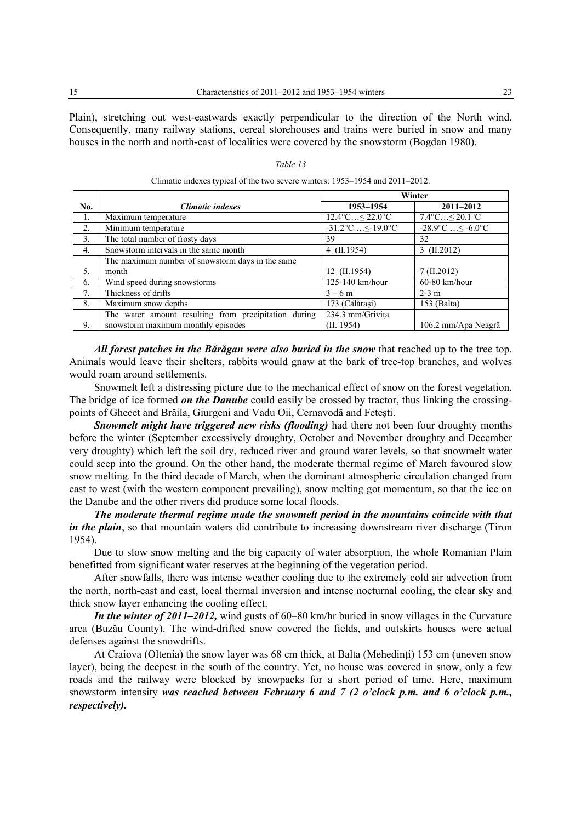Plain), stretching out west-eastwards exactly perpendicular to the direction of the North wind. Consequently, many railway stations, cereal storehouses and trains were buried in snow and many houses in the north and north-east of localities were covered by the snowstorm (Bogdan 1980).

*Table 13* 

Climatic indexes typical of the two severe winters: 1953–1954 and 2011–2012.

|                  |                                                      | Winter                                 |                                       |  |
|------------------|------------------------------------------------------|----------------------------------------|---------------------------------------|--|
| No.              | Climatic indexes                                     | 1953–1954                              | $2011 - 2012$                         |  |
| 1.               | Maximum temperature                                  | $12.4^{\circ}$ C $\leq 22.0^{\circ}$ C | $7.4^{\circ}C \leq 20.1^{\circ}C$     |  |
| 2.               | Minimum temperature                                  | $-31.2$ °C $\leq$ -19.0°C              | $-28.9^{\circ}C$ $\leq -6.0^{\circ}C$ |  |
| 3 <sub>1</sub>   | The total number of frosty days                      | 39                                     | 32                                    |  |
| $\overline{4}$ . | Snowstorm intervals in the same month                | $4$ (II.1954)                          | $3$ (II.2012)                         |  |
|                  | The maximum number of snowstorm days in the same     |                                        |                                       |  |
| 5.               | month                                                | 12 (II.1954)                           | 7 (II.2012)                           |  |
| 6.               | Wind speed during snowstorms                         | 125-140 km/hour                        | $60-80$ km/hour                       |  |
| 7 <sub>1</sub>   | Thickness of drifts                                  | $3 - 6$ m                              | $2-3$ m                               |  |
| 8.               | Maximum snow depths                                  | 173 (Călărași)                         | 153 (Balta)                           |  |
|                  | The water amount resulting from precipitation during | 234.3 mm/Grivita                       |                                       |  |
| 9.               | snowstorm maximum monthly episodes                   | (II. 1954)                             | 106.2 mm/Apa Neagră                   |  |

*All forest patches in the Bărăgan were also buried in the snow* that reached up to the tree top. Animals would leave their shelters, rabbits would gnaw at the bark of tree-top branches, and wolves would roam around settlements.

Snowmelt left a distressing picture due to the mechanical effect of snow on the forest vegetation. The bridge of ice formed *on the Danube* could easily be crossed by tractor, thus linking the crossingpoints of Ghecet and Brăila, Giurgeni and Vadu Oii, Cernavodă and Feteşti.

*Snowmelt might have triggered new risks (flooding)* had there not been four droughty months before the winter (September excessively droughty, October and November droughty and December very droughty) which left the soil dry, reduced river and ground water levels, so that snowmelt water could seep into the ground. On the other hand, the moderate thermal regime of March favoured slow snow melting. In the third decade of March, when the dominant atmospheric circulation changed from east to west (with the western component prevailing), snow melting got momentum, so that the ice on the Danube and the other rivers did produce some local floods.

*The moderate thermal regime made the snowmelt period in the mountains coincide with that in the plain*, so that mountain waters did contribute to increasing downstream river discharge (Tiron 1954).

Due to slow snow melting and the big capacity of water absorption, the whole Romanian Plain benefitted from significant water reserves at the beginning of the vegetation period.

After snowfalls, there was intense weather cooling due to the extremely cold air advection from the north, north-east and east, local thermal inversion and intense nocturnal cooling, the clear sky and thick snow layer enhancing the cooling effect.

*In the winter of 2011–2012*, wind gusts of 60–80 km/hr buried in snow villages in the Curvature area (Buzău County). The wind-drifted snow covered the fields, and outskirts houses were actual defenses against the snowdrifts.

At Craiova (Oltenia) the snow layer was 68 cm thick, at Balta (Mehedinţi) 153 cm (uneven snow layer), being the deepest in the south of the country. Yet, no house was covered in snow, only a few roads and the railway were blocked by snowpacks for a short period of time. Here, maximum snowstorm intensity *was reached between February 6 and 7 (2 o'clock p.m. and 6 o'clock p.m., respectively).*